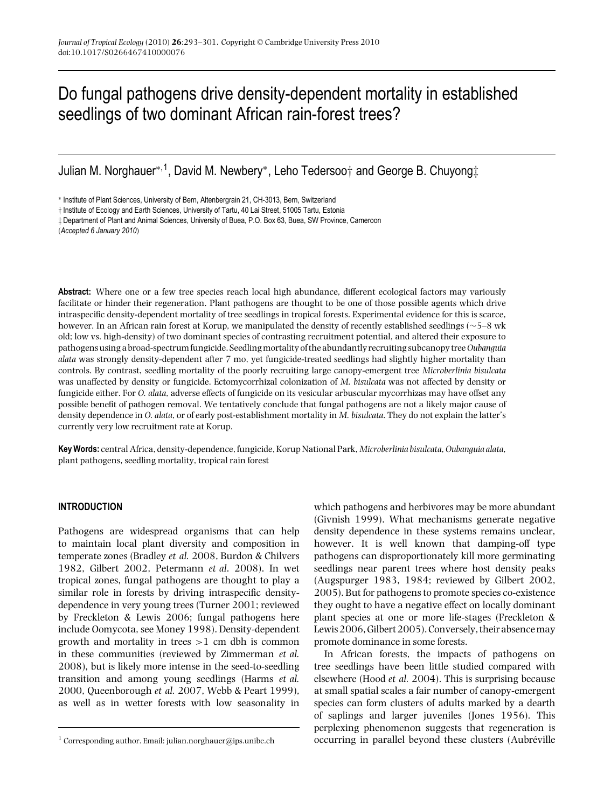# Do fungal pathogens drive density-dependent mortality in established seedlings of two dominant African rain-forest trees?

Julian M. Norghauer∗,1, David M. Newbery∗, Leho Tedersoo† and George B. Chuyong‡

∗ Institute of Plant Sciences, University of Bern, Altenbergrain 21, CH-3013, Bern, Switzerland

† Institute of Ecology and Earth Sciences, University of Tartu, 40 Lai Street, 51005 Tartu, Estonia

‡ Department of Plant and Animal Sciences, University of Buea, P.O. Box 63, Buea, SW Province, Cameroon

(*Accepted 6 January 2010*)

**Abstract:** Where one or a few tree species reach local high abundance, different ecological factors may variously facilitate or hinder their regeneration. Plant pathogens are thought to be one of those possible agents which drive intraspecific density-dependent mortality of tree seedlings in tropical forests. Experimental evidence for this is scarce, however. In an African rain forest at Korup, we manipulated the density of recently established seedlings (∼5–8 wk old; low vs. high-density) of two dominant species of contrasting recruitment potential, and altered their exposure to pathogens using a broad-spectrum fungicide. Seedlingmortality of the abundantly recruiting subcanopy tree*Oubanguia alata* was strongly density-dependent after 7 mo, yet fungicide-treated seedlings had slightly higher mortality than controls. By contrast, seedling mortality of the poorly recruiting large canopy-emergent tree *Microberlinia bisulcata* was unaffected by density or fungicide. Ectomycorrhizal colonization of *M. bisulcata* was not affected by density or fungicide either. For *O. alata*, adverse effects of fungicide on its vesicular arbuscular mycorrhizas may have offset any possible benefit of pathogen removal. We tentatively conclude that fungal pathogens are not a likely major cause of density dependence in *O. alata*, or of early post-establishment mortality in *M. bisulcata*. They do not explain the latter's currently very low recruitment rate at Korup.

**Key Words:** central Africa, density-dependence, fungicide, Korup National Park, *Microberlinia bisulcata*,*Oubanguia alata*, plant pathogens, seedling mortality, tropical rain forest

### **INTRODUCTION**

Pathogens are widespread organisms that can help to maintain local plant diversity and composition in temperate zones (Bradley *et al.* 2008, Burdon & Chilvers 1982, Gilbert 2002, Petermann *et al*. 2008). In wet tropical zones, fungal pathogens are thought to play a similar role in forests by driving intraspecific densitydependence in very young trees (Turner 2001; reviewed by Freckleton & Lewis 2006; fungal pathogens here include Oomycota, see Money 1998). Density-dependent growth and mortality in trees >1 cm dbh is common in these communities (reviewed by Zimmerman *et al.* 2008), but is likely more intense in the seed-to-seedling transition and among young seedlings (Harms *et al.* 2000, Queenborough *et al.* 2007, Webb & Peart 1999), as well as in wetter forests with low seasonality in

which pathogens and herbivores may be more abundant (Givnish 1999). What mechanisms generate negative density dependence in these systems remains unclear, however. It is well known that damping-off type pathogens can disproportionately kill more germinating seedlings near parent trees where host density peaks (Augspurger 1983, 1984; reviewed by Gilbert 2002, 2005). But for pathogens to promote species co-existence they ought to have a negative effect on locally dominant plant species at one or more life-stages (Freckleton & Lewis 2006,Gilbert 2005). Conversely, their absencemay promote dominance in some forests.

In African forests, the impacts of pathogens on tree seedlings have been little studied compared with elsewhere (Hood *et al.* 2004). This is surprising because at small spatial scales a fair number of canopy-emergent species can form clusters of adults marked by a dearth of saplings and larger juveniles (Jones 1956). This perplexing phenomenon suggests that regeneration is occurring in parallel beyond these clusters (Aubréville

<sup>&</sup>lt;sup>1</sup> Corresponding author. Email: julian.norghauer@ips.unibe.ch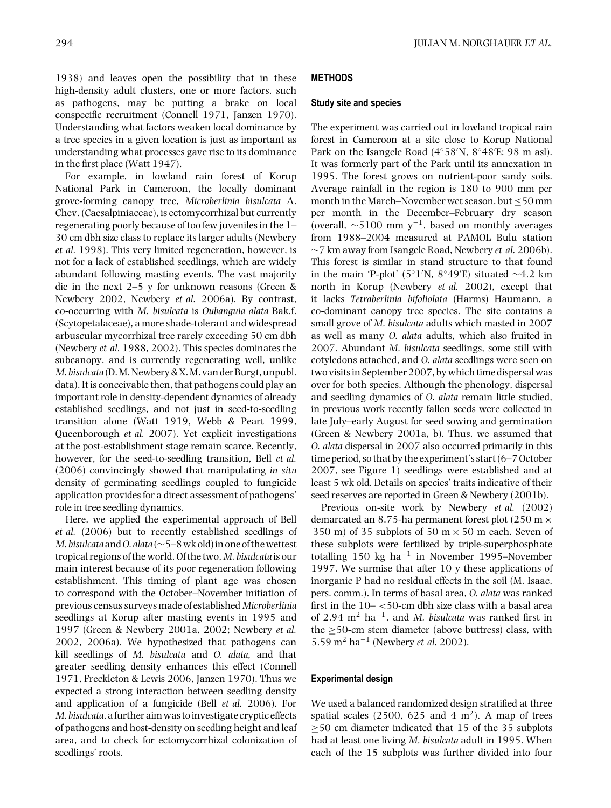1938) and leaves open the possibility that in these high-density adult clusters, one or more factors, such as pathogens, may be putting a brake on local conspecific recruitment (Connell 1971, Janzen 1970). Understanding what factors weaken local dominance by a tree species in a given location is just as important as understanding what processes gave rise to its dominance in the first place (Watt 1947).

For example, in lowland rain forest of Korup National Park in Cameroon, the locally dominant grove-forming canopy tree, *Microberlinia bisulcata* A. Chev. (Caesalpiniaceae), is ectomycorrhizal but currently regenerating poorly because of too few juveniles in the 1– 30 cm dbh size class to replace its larger adults (Newbery *et al.* 1998). This very limited regeneration, however, is not for a lack of established seedlings, which are widely abundant following masting events. The vast majority die in the next 2–5 y for unknown reasons (Green & Newbery 2002, Newbery *et al.* 2006a). By contrast, co-occurring with *M. bisulcata* is *Oubanguia alata* Bak.f. (Scytopetalaceae), a more shade-tolerant and widespread arbuscular mycorrhizal tree rarely exceeding 50 cm dbh (Newbery *et al*. 1988, 2002). This species dominates the subcanopy, and is currently regenerating well, unlike *M. bisulcata* (D.M. Newbery&X.M. van der Burgt, unpubl. data). It is conceivable then, that pathogens could play an important role in density-dependent dynamics of already established seedlings, and not just in seed-to-seedling transition alone (Watt 1919, Webb & Peart 1999, Queenborough *et al.* 2007). Yet explicit investigations at the post-establishment stage remain scarce. Recently, however, for the seed-to-seedling transition, Bell *et al.* (2006) convincingly showed that manipulating *in situ* density of germinating seedlings coupled to fungicide application provides for a direct assessment of pathogens' role in tree seedling dynamics.

Here, we applied the experimental approach of Bell *et al.* (2006) but to recently established seedlings of *M. bisulcata* and *O. alata* (∼5–8 wk old) in one of the wettest tropical regions of the world. Of the two, *M. bisulcata* is our main interest because of its poor regeneration following establishment. This timing of plant age was chosen to correspond with the October–November initiation of previous census surveys made of established *Microberlinia* seedlings at Korup after masting events in 1995 and 1997 (Green & Newbery 2001a, 2002; Newbery *et al.* 2002, 2006a). We hypothesized that pathogens can kill seedlings of *M. bisulcata* and *O. alata,* and that greater seedling density enhances this effect (Connell 1971, Freckleton & Lewis 2006, Janzen 1970). Thus we expected a strong interaction between seedling density and application of a fungicide (Bell *et al.* 2006). For *M. bisulcata*, afurther aim was toinvestigate cryptic effects of pathogens and host-density on seedling height and leaf area, and to check for ectomycorrhizal colonization of seedlings' roots.

## **METHODS**

### **Study site and species**

The experiment was carried out in lowland tropical rain forest in Cameroon at a site close to Korup National Park on the Isangele Road (4◦58 N, 8◦48 E; 98 m asl). It was formerly part of the Park until its annexation in 1995. The forest grows on nutrient-poor sandy soils. Average rainfall in the region is 180 to 900 mm per month in the March–November wet season, but  $\leq$  50 mm per month in the December–February dry season (overall,  $\sim$ 5100 mm y<sup>-1</sup>, based on monthly averages from 1988–2004 measured at PAMOL Bulu station ∼7 km away from Isangele Road, Newbery *et al.* 2006b). This forest is similar in stand structure to that found in the main 'P-plot' (5°1′N, 8°49′E) situated ~4.2 km north in Korup (Newbery *et al.* 2002), except that it lacks *Tetraberlinia bifoliolata* (Harms) Haumann, a co-dominant canopy tree species. The site contains a small grove of *M. bisulcata* adults which masted in 2007 as well as many *O. alata* adults, which also fruited in 2007. Abundant *M. bisulcata* seedlings, some still with cotyledons attached, and *O. alata* seedlings were seen on two visits in September 2007, by which time dispersal was over for both species. Although the phenology, dispersal and seedling dynamics of *O. alata* remain little studied, in previous work recently fallen seeds were collected in late July–early August for seed sowing and germination (Green & Newbery 2001a, b). Thus, we assumed that *O. alata* dispersal in 2007 also occurred primarily in this time period, so that by the experiment's start (6–7 October 2007, see Figure 1) seedlings were established and at least 5 wk old. Details on species' traits indicative of their seed reserves are reported in Green & Newbery (2001b).

Previous on-site work by Newbery *et al.* (2002) demarcated an 8.75-ha permanent forest plot  $(250 \text{ m} \times$ 350 m) of 35 subplots of 50 m  $\times$  50 m each. Seven of these subplots were fertilized by triple-superphosphate totalling 150 kg ha<sup>-1</sup> in November 1995–November 1997. We surmise that after 10 y these applications of inorganic P had no residual effects in the soil (M. Isaac, pers. comm.). In terms of basal area, *O. alata* was ranked first in the  $10 - 50$ -cm dbh size class with a basal area of 2.94 m2 ha−1, and *M. bisulcata* was ranked first in the  $\geq$  50-cm stem diameter (above buttress) class, with 5.59 m<sup>2</sup> ha−<sup>1</sup> (Newbery *et al.* 2002).

### **Experimental design**

We used a balanced randomized design stratified at three spatial scales (2500, 625 and 4  $m<sup>2</sup>$ ). A map of trees ≥50 cm diameter indicated that 15 of the 35 subplots had at least one living *M. bisulcata* adult in 1995. When each of the 15 subplots was further divided into four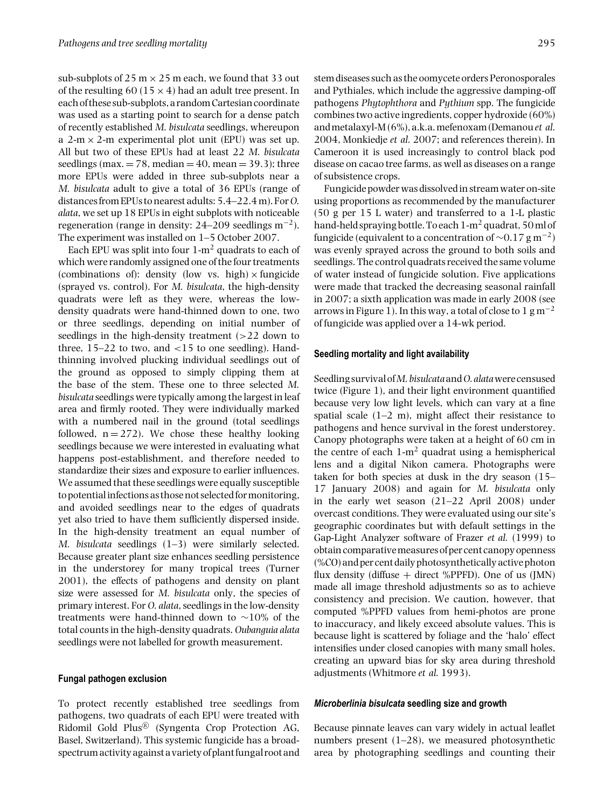sub-subplots of  $25 \text{ m} \times 25 \text{ m}$  each, we found that 33 out of the resulting 60 (15  $\times$  4) had an adult tree present. In each of these sub-subplots, a random Cartesian coordinate was used as a starting point to search for a dense patch of recently established *M. bisulcata* seedlings, whereupon a 2-m  $\times$  2-m experimental plot unit (EPU) was set up. All but two of these EPUs had at least 22 *M. bisulcata* seedlings (max.  $= 78$ , median  $= 40$ , mean  $= 39.3$ ); three more EPUs were added in three sub-subplots near a *M. bisulcata* adult to give a total of 36 EPUs (range of distances from EPUs to nearest adults: 5.4–22.4m). For*O. alata*, we set up 18 EPUs in eight subplots with noticeable regeneration (range in density:  $24-209$  seedlings m<sup>-2</sup>). The experiment was installed on 1–5 October 2007.

Each EPU was split into four  $1-m^2$  quadrats to each of which were randomly assigned one of the four treatments (combinations of): density (low vs. high)  $\times$  fungicide (sprayed vs. control). For *M. bisulcata*, the high-density quadrats were left as they were, whereas the lowdensity quadrats were hand-thinned down to one, two or three seedlings, depending on initial number of seedlings in the high-density treatment  $(>22$  down to three,  $15-22$  to two, and  $\langle 15 \rangle$  to one seedling). Handthinning involved plucking individual seedlings out of the ground as opposed to simply clipping them at the base of the stem. These one to three selected *M. bisulcata* seedlings were typically among the largest in leaf area and firmly rooted. They were individually marked with a numbered nail in the ground (total seedlings followed,  $n = 272$ ). We chose these healthy looking seedlings because we were interested in evaluating what happens post-establishment, and therefore needed to standardize their sizes and exposure to earlier influences. We assumed that these seedlings were equally susceptible to potentialinfections as those not selectedformonitoring, and avoided seedlings near to the edges of quadrats yet also tried to have them sufficiently dispersed inside. In the high-density treatment an equal number of *M. bisulcata* seedlings (1–3) were similarly selected. Because greater plant size enhances seedling persistence in the understorey for many tropical trees (Turner 2001), the effects of pathogens and density on plant size were assessed for *M. bisulcata* only, the species of primary interest. For *O. alata*, seedlings in the low-density treatments were hand-thinned down to ∼10% of the total counts in the high-density quadrats. *Oubanguia alata* seedlings were not labelled for growth measurement.

### **Fungal pathogen exclusion**

To protect recently established tree seedlings from pathogens, two quadrats of each EPU were treated with Ridomil Gold Plus® (Syngenta Crop Protection AG, Basel, Switzerland). This systemic fungicide has a broadspectrum activity against a variety of plant fungal root and stem diseases such as the oomycete orders Peronosporales and Pythiales, which include the aggressive damping-off pathogens *Phytophthora* and *Pythium* spp. The fungicide

combines two active ingredients, copper hydroxide (60%) andmetalaxyl-M (6%), a.k.a.mefenoxam (Demanou*et al.* 2004, Monkiedje *et al.* 2007; and references therein). In Cameroon it is used increasingly to control black pod disease on cacao tree farms, as well as diseases on a range of subsistence crops.

Fungicide powder was dissolved in stream water on-site using proportions as recommended by the manufacturer (50 g per 15 L water) and transferred to a 1-L plastic hand-held spraying bottle. To each 1-m<sup>2</sup> quadrat, 50 ml of fungicide (equivalent to a concentration of  $\sim$ 0.17 g m<sup>-2</sup>) was evenly sprayed across the ground to both soils and seedlings. The control quadrats received the same volume of water instead of fungicide solution. Five applications were made that tracked the decreasing seasonal rainfall in 2007; a sixth application was made in early 2008 (see arrows in Figure 1). In this way, a total of close to 1 g m<sup>-2</sup> of fungicide was applied over a 14-wk period.

### **Seedling mortality and light availability**

Seedling survival of*M. bisulcata*and*O. alata*were censused twice (Figure 1), and their light environment quantified because very low light levels, which can vary at a fine spatial scale  $(1-2 m)$ , might affect their resistance to pathogens and hence survival in the forest understorey. Canopy photographs were taken at a height of 60 cm in the centre of each  $1-m^2$  quadrat using a hemispherical lens and a digital Nikon camera. Photographs were taken for both species at dusk in the dry season (15– 17 January 2008) and again for *M. bisulcata* only in the early wet season (21–22 April 2008) under overcast conditions. They were evaluated using our site's geographic coordinates but with default settings in the Gap-Light Analyzer software of Frazer *et al.* (1999) to obtain comparativemeasures of per cent canopy openness (%CO) and per cent daily photosynthetically active photon flux density (diffuse  $+$  direct %PPFD). One of us (JMN) made all image threshold adjustments so as to achieve consistency and precision. We caution, however, that computed %PPFD values from hemi-photos are prone to inaccuracy, and likely exceed absolute values. This is because light is scattered by foliage and the 'halo' effect intensifies under closed canopies with many small holes, creating an upward bias for sky area during threshold adjustments (Whitmore *et al.* 1993).

### *Microberlinia bisulcata* **seedling size and growth**

Because pinnate leaves can vary widely in actual leaflet numbers present (1–28), we measured photosynthetic area by photographing seedlings and counting their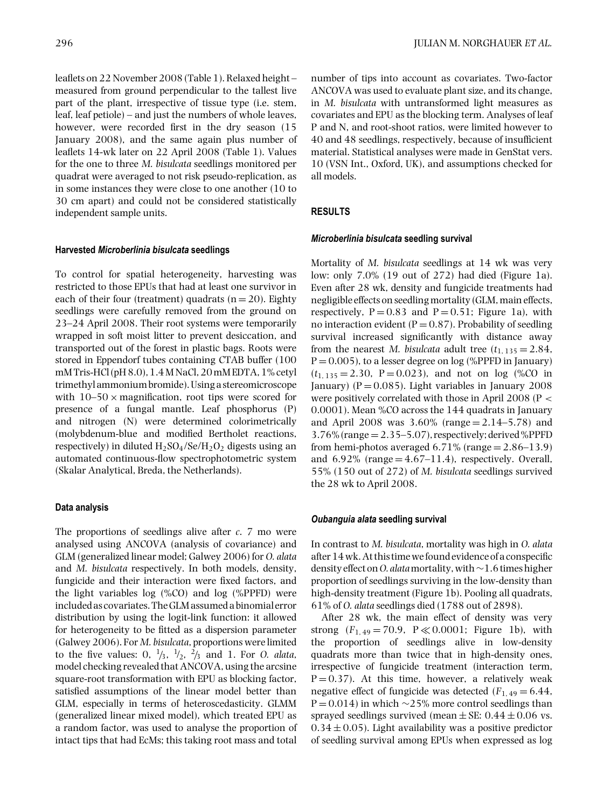leaflets on 22 November 2008 (Table 1). Relaxed height – measured from ground perpendicular to the tallest live part of the plant, irrespective of tissue type (i.e. stem, leaf, leaf petiole) – and just the numbers of whole leaves, however, were recorded first in the dry season (15 January 2008), and the same again plus number of leaflets 14-wk later on 22 April 2008 (Table 1). Values for the one to three *M. bisulcata* seedlings monitored per quadrat were averaged to not risk pseudo-replication, as in some instances they were close to one another (10 to 30 cm apart) and could not be considered statistically independent sample units.

# **Harvested** *Microberlinia bisulcata* **seedlings**

To control for spatial heterogeneity, harvesting was restricted to those EPUs that had at least one survivor in each of their four (treatment) quadrats  $(n = 20)$ . Eighty seedlings were carefully removed from the ground on 23–24 April 2008. Their root systems were temporarily wrapped in soft moist litter to prevent desiccation, and transported out of the forest in plastic bags. Roots were stored in Eppendorf tubes containing CTAB buffer (100 mM Tris-HCl (pH 8.0), 1.4M NaCl, 20mM EDTA, 1% cetyl trimethyl ammonium bromide).Using a stereomicroscope with  $10-50 \times$  magnification, root tips were scored for presence of a fungal mantle. Leaf phosphorus (P) and nitrogen (N) were determined colorimetrically (molybdenum-blue and modified Bertholet reactions, respectively) in diluted  $H_2SO_4/Se/H_2O_2$  digests using an automated continuous-flow spectrophotometric system (Skalar Analytical, Breda, the Netherlands).

# **Data analysis**

The proportions of seedlings alive after *c*. 7 mo were analysed using ANCOVA (analysis of covariance) and GLM (generalized linear model; Galwey 2006) for *O. alata* and *M. bisulcata* respectively. In both models, density, fungicide and their interaction were fixed factors, and the light variables log (%CO) and log (%PPFD) were included as covariates. TheGLM assumed a binomial error distribution by using the logit-link function: it allowed for heterogeneity to be fitted as a dispersion parameter (Galwey 2006). For *M. bisulcata*, proportions were limited to the five values:  $0, \frac{1}{3}, \frac{1}{2}, \frac{2}{3}$  and 1. For *O. alata*, model checking revealed that ANCOVA, using the arcsine square-root transformation with EPU as blocking factor, satisfied assumptions of the linear model better than GLM, especially in terms of heteroscedasticity. GLMM (generalized linear mixed model), which treated EPU as a random factor, was used to analyse the proportion of intact tips that had EcMs; this taking root mass and total

number of tips into account as covariates. Two-factor ANCOVA was used to evaluate plant size, and its change, in *M. bisulcata* with untransformed light measures as covariates and EPU as the blocking term. Analyses of leaf P and N, and root-shoot ratios, were limited however to 40 and 48 seedlings, respectively, because of insufficient material. Statistical analyses were made in GenStat vers. 10 (VSN Int., Oxford, UK), and assumptions checked for all models.

# **RESULTS**

## *Microberlinia bisulcata* **seedling survival**

Mortality of *M. bisulcata* seedlings at 14 wk was very low: only 7.0% (19 out of 272) had died (Figure 1a). Even after 28 wk, density and fungicide treatments had negligible effects on seedling mortality (GLM, main effects, respectively,  $P = 0.83$  and  $P = 0.51$ ; Figure 1a), with no interaction evident ( $P = 0.87$ ). Probability of seedling survival increased significantly with distance away from the nearest *M. bisulcata* adult tree  $(t_{1, 135} = 2.84,$  $P = 0.005$ ), to a lesser degree on log (%PPFD in January)  $(t_{1, 135} = 2.30, P = 0.023)$ , and not on log (%CO in January) ( $P = 0.085$ ). Light variables in January 2008 were positively correlated with those in April 2008 (P < 0.0001). Mean %CO across the 144 quadrats in January and April 2008 was  $3.60\%$  (range  $= 2.14 - 5.78$ ) and  $3.76\%$  (range  $= 2.35 - 5.07$ ), respectively; derived %PPFD from hemi-photos averaged  $6.71\%$  (range  $= 2.86 - 13.9$ ) and  $6.92\%$  (range  $= 4.67-11.4$ ), respectively. Overall, 55% (150 out of 272) of *M. bisulcata* seedlings survived the 28 wk to April 2008.

# *Oubanguia alata* **seedling survival**

In contrast to *M. bisulcata*, mortality was high in *O. alata* after 14 wk. At this time wefound evidence of a conspecific density effect on*O. alata*mortality, with∼1.6 times higher proportion of seedlings surviving in the low-density than high-density treatment (Figure 1b). Pooling all quadrats, 61% of *O. alata* seedlings died (1788 out of 2898).

After 28 wk, the main effect of density was very strong  $(F_{1,49} = 70.9, P \ll 0.0001;$  Figure 1b), with the proportion of seedlings alive in low-density quadrats more than twice that in high-density ones, irrespective of fungicide treatment (interaction term,  $P = 0.37$ ). At this time, however, a relatively weak negative effect of fungicide was detected  $(F_{1,49} = 6.44,$  $P = 0.014$ ) in which ∼25% more control seedlings than sprayed seedlings survived (mean  $\pm$  SE: 0.44  $\pm$  0.06 vs.  $0.34 \pm 0.05$ ). Light availability was a positive predictor of seedling survival among EPUs when expressed as log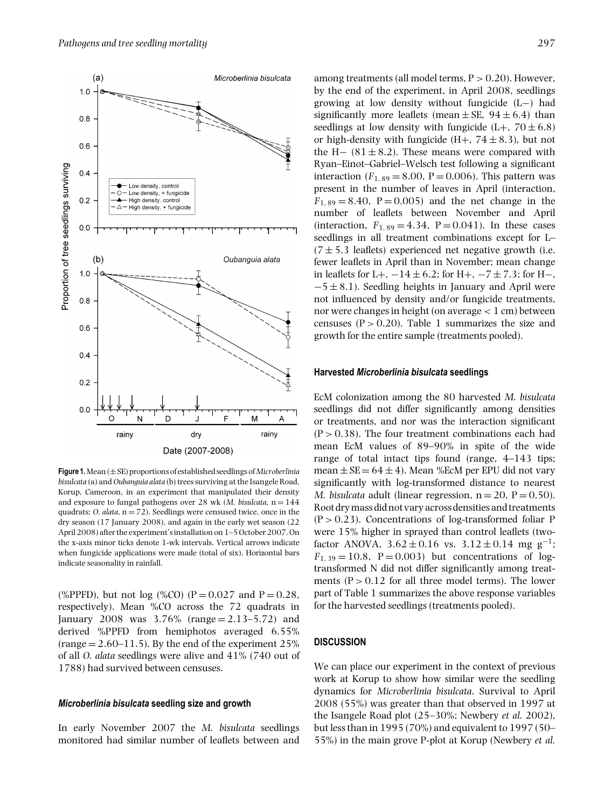

**Figure 1.**Mean (±SE) proportions of established seedlings of*Microberlinia bisulcata* (a) and *Oubanguia alata* (b) trees surviving at the Isangele Road, Korup, Cameroon, in an experiment that manipulated their density and exposure to fungal pathogens over 28 wk (*M. bisulcata*, n = 144 quadrats;  $O.$  *alata*,  $n = 72$ ). Seedlings were censused twice, once in the dry season (17 January 2008), and again in the early wet season (22 April 2008) after the experiment's installation on 1–5 October 2007. On the x-axis minor ticks denote 1-wk intervals. Vertical arrows indicate when fungicide applications were made (total of six). Horizontal bars indicate seasonality in rainfall.

(%PPFD), but not  $log$  (%CO) (P = 0.027 and P = 0.28, respectively). Mean %CO across the 72 quadrats in January 2008 was  $3.76\%$  (range  $= 2.13 - 5.72$ ) and derived %PPFD from hemiphotos averaged 6.55% (range  $= 2.60 - 11.5$ ). By the end of the experiment 25% of all *O. alata* seedlings were alive and 41% (740 out of 1788) had survived between censuses.

#### *Microberlinia bisulcata* **seedling size and growth**

In early November 2007 the *M. bisulcata* seedlings monitored had similar number of leaflets between and among treatments (all model terms,  $P > 0.20$ ). However, by the end of the experiment, in April 2008, seedlings growing at low density without fungicide (L−) had significantly more leaflets (mean  $\pm$  SE, 94  $\pm$  6.4) than seedlings at low density with fungicide  $(L+, 70 \pm 6.8)$ or high-density with fungicide  $(H+, 74 \pm 8.3)$ , but not the H $-$  (81  $\pm$  8.2). These means were compared with Ryan–Einot–Gabriel–Welsch test following a significant interaction  $(F_{1, 89} = 8.00, P = 0.006)$ . This pattern was present in the number of leaves in April (interaction,  $F_{1, 89} = 8.40$ ,  $P = 0.005$ ) and the net change in the number of leaflets between November and April (interaction,  $F_{1, 89} = 4.34$ ,  $P = 0.041$ ). In these cases seedlings in all treatment combinations except for L–  $(7 \pm 5.3$  leaflets) experienced net negative growth (i.e. fewer leaflets in April than in November; mean change in leaflets for L+,  $-14 \pm 6.2$ ; for H+,  $-7 \pm 7.3$ ; for H−,  $-5 \pm 8.1$ ). Seedling heights in January and April were not influenced by density and/or fungicide treatments, nor were changes in height (on average < 1 cm) between censuses  $(P > 0.20)$ . Table 1 summarizes the size and growth for the entire sample (treatments pooled).

### **Harvested** *Microberlinia bisulcata* **seedlings**

EcM colonization among the 80 harvested *M. bisulcata* seedlings did not differ significantly among densities or treatments, and nor was the interaction significant  $(P > 0.38)$ . The four treatment combinations each had mean EcM values of 89–90% in spite of the wide range of total intact tips found (range, 4–143 tips; mean  $\pm$  SE = 64  $\pm$  4). Mean %EcM per EPU did not vary significantly with log-transformed distance to nearest *M. bisulcata* adult (linear regression,  $n = 20$ ,  $P = 0.50$ ). Root drymass did not vary across densities and treatments  $(P > 0.23)$ . Concentrations of log-transformed foliar P were 15% higher in sprayed than control leaflets (twofactor ANOVA,  $3.62 \pm 0.16$  vs.  $3.12 \pm 0.14$  mg g<sup>-1</sup>;  $F_{1, 39} = 10.8$ ,  $P = 0.003$ ) but concentrations of logtransformed N did not differ significantly among treatments  $(P > 0.12$  for all three model terms). The lower part of Table 1 summarizes the above response variables for the harvested seedlings (treatments pooled).

# **DISCUSSION**

We can place our experiment in the context of previous work at Korup to show how similar were the seedling dynamics for *Microberlinia bisulcata*. Survival to April 2008 (55%) was greater than that observed in 1997 at the Isangele Road plot (25–30%; Newbery *et al.* 2002), but less than in 1995 (70%) and equivalent to 1997 (50– 55%) in the main grove P-plot at Korup (Newbery *et al.*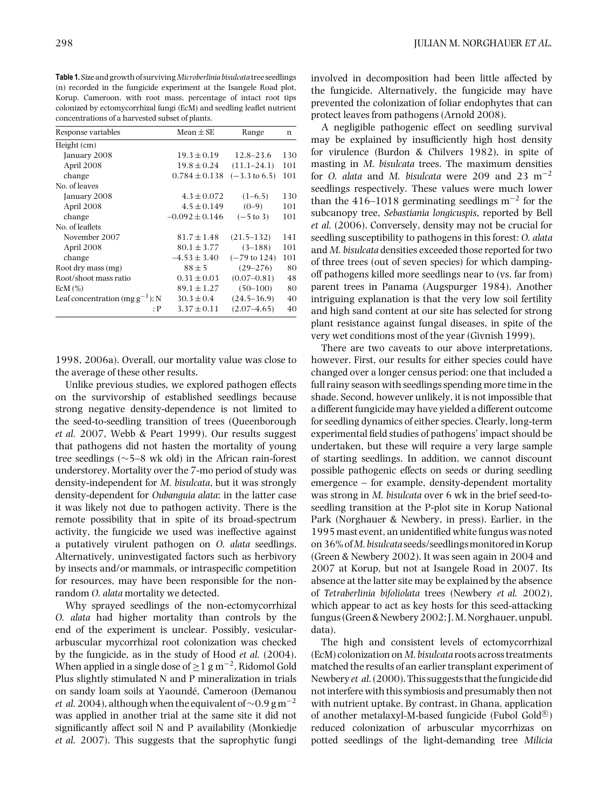**Table 1.** Size and growth of surviving*Microberlinia bisulcata* tree seedlings (n) recorded in the fungicide experiment at the Isangele Road plot, Korup. Cameroon, with root mass, percentage of intact root tips colonized by ectomycorrhizal fungi (EcM) and seedling leaflet nutrient concentrations of a harvested subset of plants.

| Response variables                   | Mean $\pm$ SE      | Range                    | n   |
|--------------------------------------|--------------------|--------------------------|-----|
| Height (cm)                          |                    |                          |     |
| January 2008                         | $19.3 \pm 0.19$    | $12.8 - 23.6$            | 130 |
| April 2008                           | $19.8 \pm 0.24$    | $(11.1 - 24.1)$          | 101 |
| change                               | $0.784 \pm 0.138$  | $(-3.3 \text{ to } 6.5)$ | 101 |
| No. of leaves                        |                    |                          |     |
| January 2008                         | $4.3 \pm 0.072$    | $(1-6.5)$                | 130 |
| April 2008                           | $4.5 \pm 0.149$    | $(0-9)$                  | 101 |
| change                               | $-0.092 \pm 0.146$ | $(-5 \text{ to } 3)$     | 101 |
| No. of leaflets                      |                    |                          |     |
| November 2007                        | $81.7 \pm 1.48$    | $(21.5 - 132)$           | 141 |
| April 2008                           | $80.1 \pm 3.77$    | $(3-188)$                | 101 |
| change                               | $-4.53 \pm 3.40$   | $(-79 \text{ to } 124)$  | 101 |
| Root dry mass (mg)                   | $88 + 5$           | $(29 - 276)$             | 80  |
| Root/shoot mass ratio                | $0.31 \pm 0.03$    | $(0.07 - 0.81)$          | 48  |
| $ECM$ $(\%)$                         | $89.1 \pm 1.27$    | $(50-100)$               | 80  |
| Leaf concentration (mg $g^{-1}$ ): N | $30.3 \pm 0.4$     | $(24.5 - 36.9)$          | 40  |
| : P                                  | $3.37 \pm 0.11$    | $(2.07 - 4.65)$          | 40  |

1998, 2006a). Overall, our mortality value was close to the average of these other results.

Unlike previous studies, we explored pathogen effects on the survivorship of established seedlings because strong negative density-dependence is not limited to the seed-to-seedling transition of trees (Queenborough *et al.* 2007, Webb & Peart 1999). Our results suggest that pathogens did not hasten the mortality of young tree seedlings (∼5–8 wk old) in the African rain-forest understorey. Mortality over the 7-mo period of study was density-independent for *M. bisulcata*, but it was strongly density-dependent for *Oubanguia alata*: in the latter case it was likely not due to pathogen activity. There is the remote possibility that in spite of its broad-spectrum activity, the fungicide we used was ineffective against a putatively virulent pathogen on *O. alata* seedlings. Alternatively, uninvestigated factors such as herbivory by insects and/or mammals, or intraspecific competition for resources, may have been responsible for the nonrandom *O. alata* mortality we detected.

Why sprayed seedlings of the non-ectomycorrhizal *O. alata* had higher mortality than controls by the end of the experiment is unclear. Possibly, vesiculararbuscular mycorrhizal root colonization was checked by the fungicide, as in the study of Hood *et al.* (2004). When applied in a single dose of  $\geq 1$  g m<sup>-2</sup>, Ridomol Gold Plus slightly stimulated N and P mineralization in trials on sandy loam soils at Yaounde, Cameroon (Demanou ´ *et al.* 2004), although when the equivalent of ~0.9 g m<sup>-2</sup> was applied in another trial at the same site it did not significantly affect soil N and P availability (Monkiedje *et al.* 2007). This suggests that the saprophytic fungi

involved in decomposition had been little affected by the fungicide. Alternatively, the fungicide may have prevented the colonization of foliar endophytes that can protect leaves from pathogens (Arnold 2008).

A negligible pathogenic effect on seedling survival may be explained by insufficiently high host density for virulence (Burdon & Chilvers 1982), in spite of masting in *M. bisulcata* trees. The maximum densities for *O. alata* and *M. bisulcata* were 209 and 23 m−<sup>2</sup> seedlings respectively. These values were much lower than the 416–1018 germinating seedlings m<sup>-2</sup> for the subcanopy tree, *Sebastiania longicuspis*, reported by Bell *et al.* (2006). Conversely, density may not be crucial for seedling susceptibility to pathogens in this forest: *O. alata* and *M. bisulcata* densities exceeded those reported for two of three trees (out of seven species) for which dampingoff pathogens killed more seedlings near to (vs. far from) parent trees in Panama (Augspurger 1984). Another intriguing explanation is that the very low soil fertility and high sand content at our site has selected for strong plant resistance against fungal diseases, in spite of the very wet conditions most of the year (Givnish 1999).

There are two caveats to our above interpretations, however. First, our results for either species could have changed over a longer census period: one that included a full rainy season with seedlings spending more time in the shade. Second, however unlikely, it is not impossible that a different fungicide may have yielded a different outcome for seedling dynamics of either species. Clearly, long-term experimental field studies of pathogens' impact should be undertaken, but these will require a very large sample of starting seedlings. In addition, we cannot discount possible pathogenic effects on seeds or during seedling emergence – for example, density-dependent mortality was strong in *M. bisulcata* over 6 wk in the brief seed-toseedling transition at the P-plot site in Korup National Park (Norghauer & Newbery, in press). Earlier, in the 1995 mast event, an unidentified white fungus was noted on 36% of*M. bisulcata* seeds/seedlingsmonitoredinKorup (Green & Newbery 2002). It was seen again in 2004 and 2007 at Korup, but not at Isangele Road in 2007. Its absence at the latter site may be explained by the absence of *Tetraberlinia bifoliolata* trees (Newbery *et al.* 2002), which appear to act as key hosts for this seed-attacking fungus (Green& Newbery 2002; J.M. Norghauer, unpubl. data).

The high and consistent levels of ectomycorrhizal (EcM) colonization on*M. bisulcata* roots across treatments matched the results of an earlier transplant experiment of Newbery *et al.* (2000). This suggests that the fungicide did not interfere with this symbiosis and presumably then not with nutrient uptake. By contrast, in Ghana, application of another metalaxyl-M-based fungicide (Fubol Gold $^{\textcircled{k}}$ ) reduced colonization of arbuscular mycorrhizas on potted seedlings of the light-demanding tree *Milicia*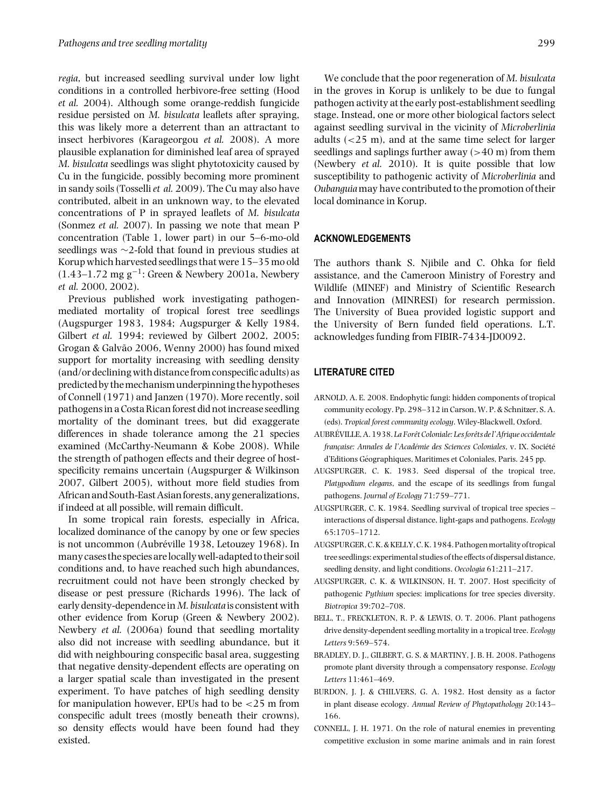*regia*, but increased seedling survival under low light conditions in a controlled herbivore-free setting (Hood *et al.* 2004). Although some orange-reddish fungicide residue persisted on *M. bisulcata* leaflets after spraying, this was likely more a deterrent than an attractant to insect herbivores (Karageorgou *et al.* 2008). A more plausible explanation for diminished leaf area of sprayed *M. bisulcata* seedlings was slight phytotoxicity caused by Cu in the fungicide, possibly becoming more prominent in sandy soils (Tosselli*et al.* 2009). The Cu may also have contributed, albeit in an unknown way, to the elevated concentrations of P in sprayed leaflets of *M. bisulcata* (Sonmez *et al.* 2007). In passing we note that mean P concentration (Table 1, lower part) in our 5–6-mo-old seedlings was ∼2-fold that found in previous studies at Korup which harvested seedlings that were 15–35 mo old  $(1.43-1.72 \text{ mg g}^{-1})$ : Green & Newbery 2001a, Newbery *et al.* 2000, 2002).

Previous published work investigating pathogenmediated mortality of tropical forest tree seedlings (Augspurger 1983, 1984; Augspurger & Kelly 1984, Gilbert *et al.* 1994; reviewed by Gilbert 2002, 2005; Grogan & Galvão 2006, Wenny 2000) has found mixed support for mortality increasing with seedling density (and/or decliningwith distancefrom conspecific adults) as predicted by themechanismunderpinning thehypotheses of Connell (1971) and Janzen (1970). More recently, soil pathogens in a Costa Rican forest did not increase seedling mortality of the dominant trees, but did exaggerate differences in shade tolerance among the 21 species examined (McCarthy-Neumann & Kobe 2008). While the strength of pathogen effects and their degree of hostspecificity remains uncertain (Augspurger & Wilkinson 2007, Gilbert 2005), without more field studies from African and South-East Asian forests, any generalizations, if indeed at all possible, will remain difficult.

In some tropical rain forests, especially in Africa, localized dominance of the canopy by one or few species is not uncommon (Aubréville 1938, Letouzey 1968). In many cases the species arelocallywell-adapted to their soil conditions and, to have reached such high abundances, recruitment could not have been strongly checked by disease or pest pressure (Richards 1996). The lack of early density-dependence in*M. bisulcata* is consistent with other evidence from Korup (Green & Newbery 2002). Newbery *et al.* (2006a) found that seedling mortality also did not increase with seedling abundance, but it did with neighbouring conspecific basal area, suggesting that negative density-dependent effects are operating on a larger spatial scale than investigated in the present experiment. To have patches of high seedling density for manipulation however, EPUs had to be <25 m from conspecific adult trees (mostly beneath their crowns), so density effects would have been found had they existed.

We conclude that the poor regeneration of *M. bisulcata* in the groves in Korup is unlikely to be due to fungal pathogen activity at the early post-establishment seedling stage. Instead, one or more other biological factors select against seedling survival in the vicinity of *Microberlinia* adults  $\left( < 25 \text{ m} \right)$ , and at the same time select for larger seedlings and saplings further away  $(>40 \text{ m})$  from them (Newbery *et al.* 2010). It is quite possible that low susceptibility to pathogenic activity of *Microberlinia* and *Oubanguia* may have contributed to the promotion of their local dominance in Korup.

### **ACKNOWLEDGEMENTS**

The authors thank S. Njibile and C. Ohka for field assistance, and the Cameroon Ministry of Forestry and Wildlife (MINEF) and Ministry of Scientific Research and Innovation (MINRESI) for research permission. The University of Buea provided logistic support and the University of Bern funded field operations. L.T. acknowledges funding from FIBIR-7434-JD0092.

### **LITERATURE CITED**

- ARNOLD, A. E. 2008. Endophytic fungi: hidden components of tropical community ecology. Pp. 298–312 in Carson, W. P. & Schnitzer, S. A. (eds). *Tropical forest community ecology*. Wiley-Blackwell, Oxford.
- AUBRÉVILLE, A. 1938. La Forêt Coloniale: Les forêts de l'Afrique occidentale *française: Annales de l'Académie des Sciences Coloniales*, v. IX. Société d'Editions Geographiques, Maritimes et Coloniales, Paris. 245 pp. ´
- AUGSPURGER, C. K. 1983. Seed dispersal of the tropical tree, *Platypodium elegans*, and the escape of its seedlings from fungal pathogens. *Journal of Ecology* 71:759–771.
- AUGSPURGER, C. K. 1984. Seedling survival of tropical tree species interactions of dispersal distance, light-gaps and pathogens. *Ecology* 65:1705–1712.
- AUGSPURGER, C.K.&KELLY, C.K. 1984. Pathogenmortality of tropical tree seedlings: experimental studies of the effects of dispersal distance, seedling density, and light conditions. *Oecologia* 61:211–217.
- AUGSPURGER, C. K. & WILKINSON, H. T. 2007. Host specificity of pathogenic *Pythium* species: implications for tree species diversity. *Biotropica* 39:702–708.
- BELL, T., FRECKLETON, R. P. & LEWIS, O. T. 2006. Plant pathogens drive density-dependent seedling mortality in a tropical tree. *Ecology Letters* 9:569–574.
- BRADLEY, D. J., GILBERT, G. S. & MARTINY, J. B. H. 2008. Pathogens promote plant diversity through a compensatory response. *Ecology Letters* 11:461–469.
- BURDON, J. J. & CHILVERS, G. A. 1982. Host density as a factor in plant disease ecology. *Annual Review of Phytopathology* 20:143– 166.
- CONNELL, J. H. 1971. On the role of natural enemies in preventing competitive exclusion in some marine animals and in rain forest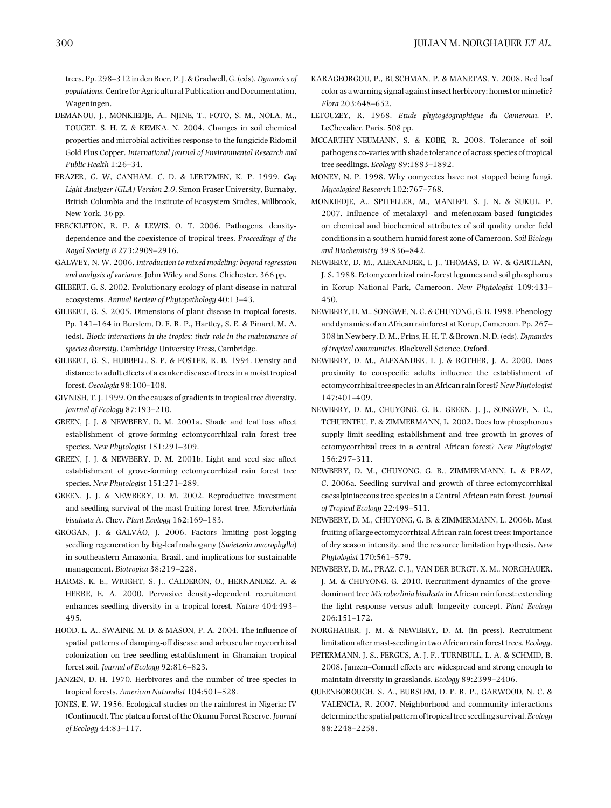trees. Pp. 298–312 in den Boer, P. J. & Gradwell, G. (eds). *Dynamics of populations*. Centre for Agricultural Publication and Documentation, Wageningen.

- DEMANOU, J., MONKIEDJE, A., NJINE, T., FOTO, S. M., NOLA, M., TOUGET, S. H. Z. & KEMKA, N. 2004. Changes in soil chemical properties and microbial activities response to the fungicide Ridomil Gold Plus Copper. *International Journal of Environmental Research and Public Health* 1:26–34.
- FRAZER, G. W, CANHAM, C. D. & LERTZMEN, K. P. 1999. *Gap Light Analyzer (GLA) Version 2.0*. Simon Fraser University, Burnaby, British Columbia and the Institute of Ecosystem Studies, Millbrook, New York. 36 pp.
- FRECKLETON, R. P. & LEWIS, O. T. 2006. Pathogens, densitydependence and the coexistence of tropical trees. *Proceedings of the Royal Society B* 273:2909–2916.
- GALWEY, N. W. 2006. *Introduction to mixed modeling: beyond regression and analysis of variance*. John Wiley and Sons. Chichester. 366 pp.
- GILBERT, G. S. 2002. Evolutionary ecology of plant disease in natural ecosystems. *Annual Review of Phytopathology* 40:13–43.
- GILBERT, G. S. 2005. Dimensions of plant disease in tropical forests. Pp. 141–164 in Burslem, D. F. R. P., Hartley, S. E. & Pinard, M. A. (eds). *Biotic interactions in the tropics: their role in the maintenance of species diversity*. Cambridge University Press, Cambridge.
- GILBERT, G. S., HUBBELL, S. P. & FOSTER, R. B. 1994. Density and distance to adult effects of a canker disease of trees in a moist tropical forest. *Oecologia* 98:100–108.
- GIVNISH, T. J. 1999. On the causes of gradients in tropical tree diversity. *Journal of Ecology* 87:193–210.
- GREEN, J. J. & NEWBERY, D. M. 2001a. Shade and leaf loss affect establishment of grove-forming ectomycorrhizal rain forest tree species. *New Phytologist* 151:291–309.
- GREEN, J. J. & NEWBERY, D. M. 2001b. Light and seed size affect establishment of grove-forming ectomycorrhizal rain forest tree species. *New Phytologist* 151:271–289.
- GREEN, J. J. & NEWBERY, D. M. 2002. Reproductive investment and seedling survival of the mast-fruiting forest tree, *Microberlinia bisulcata* A. Chev. *Plant Ecology* 162:169–183.
- GROGAN, J. & GALVÃO, J. 2006. Factors limiting post-logging seedling regeneration by big-leaf mahogany (*Swietenia macrophylla*) in southeastern Amazonia, Brazil, and implications for sustainable management. *Biotropica* 38:219–228.
- HARMS, K. E., WRIGHT, S. J., CALDERON, O., HERNANDEZ, A. & HERRE, E. A. 2000. Pervasive density-dependent recruitment enhances seedling diversity in a tropical forest. *Nature* 404:493– 495.
- HOOD, L. A., SWAINE, M. D. & MASON, P. A. 2004. The influence of spatial patterns of damping-off disease and arbuscular mycorrhizal colonization on tree seedling establishment in Ghanaian tropical forest soil. *Journal of Ecology* 92:816–823.
- JANZEN, D. H. 1970. Herbivores and the number of tree species in tropical forests. *American Naturalist* 104:501–528.
- JONES, E. W. 1956. Ecological studies on the rainforest in Nigeria: IV (Continued). The plateau forest of the Okumu Forest Reserve. *Journal of Ecology* 44:83–117.
- KARAGEORGOU, P., BUSCHMAN, P. & MANETAS, Y. 2008. Red leaf color as awarning signal againstinsect herbivory: honest ormimetic? *Flora* 203:648–652.
- LETOUZEY, R. 1968. *Etude phytogéographique du Cameroun*. P. LeChevalier, Paris. 508 pp.
- MCCARTHY-NEUMANN, S. & KOBE, R. 2008. Tolerance of soil pathogens co-varies with shade tolerance of across species of tropical tree seedlings. *Ecology* 89:1883–1892.
- MONEY, N. P. 1998. Why oomycetes have not stopped being fungi. *Mycological Research* 102:767–768.
- MONKIEDJE, A., SPITELLER, M., MANIEPI, S. J. N. & SUKUL, P. 2007. Influence of metalaxyl- and mefenoxam-based fungicides on chemical and biochemical attributes of soil quality under field conditions in a southern humid forest zone of Cameroon. *Soil Biology and Biochemistry* 39:836–842.
- NEWBERY, D. M., ALEXANDER, I. J., THOMAS, D. W. & GARTLAN, J. S. 1988. Ectomycorrhizal rain-forest legumes and soil phosphorus in Korup National Park, Cameroon. *New Phytologist* 109:433– 450.
- NEWBERY, D. M., SONGWE, N. C. & CHUYONG, G. B. 1998. Phenology and dynamics of an African rainforest at Korup, Cameroon. Pp. 267– 308 in Newbery, D. M., Prins, H. H. T. & Brown, N. D. (eds). *Dynamics of tropical communities*. Blackwell Science, Oxford.
- NEWBERY, D. M., ALEXANDER, I. J. & ROTHER, J. A. 2000. Does proximity to conspecific adults influence the establishment of ectomycorrhizal tree speciesin an African rainforest?*New Phytologist* 147:401–409.
- NEWBERY, D. M., CHUYONG, G. B., GREEN, J. J., SONGWE, N. C., TCHUENTEU, F. & ZIMMERMANN, L. 2002. Does low phosphorous supply limit seedling establishment and tree growth in groves of ectomycorrhizal trees in a central African forest? *New Phytologist* 156:297–311.
- NEWBERY, D. M., CHUYONG, G. B., ZIMMERMANN, L. & PRAZ, C. 2006a. Seedling survival and growth of three ectomycorrhizal caesalpiniaceous tree species in a Central African rain forest. *Journal of Tropical Ecology* 22:499–511.
- NEWBERY, D. M., CHUYONG, G. B. & ZIMMERMANN, L. 2006b. Mast fruiting of large ectomycorrhizal African rain forest trees: importance of dry season intensity, and the resource limitation hypothesis. *New Phytologist* 170:561–579.
- NEWBERY, D. M., PRAZ, C. J., VAN DER BURGT, X. M., NORGHAUER, J. M. & CHUYONG, G. 2010. Recruitment dynamics of the grovedominant tree *Microberlinia bisulcata* in African rain forest: extending the light response versus adult longevity concept. *Plant Ecology* 206:151–172.
- NORGHAUER, J. M. & NEWBERY, D. M. (in press). Recruitment limitation after mast-seeding in two African rain forest trees. *Ecology*.
- PETERMANN, J. S., FERGUS, A. J. F., TURNBULL, L. A. & SCHMID, B. 2008. Janzen–Connell effects are widespread and strong enough to maintain diversity in grasslands. *Ecology* 89:2399–2406.
- QUEENBOROUGH, S. A., BURSLEM, D. F. R. P., GARWOOD, N. C. & VALENCIA, R. 2007. Neighborhood and community interactions determine the spatial pattern of tropical tree seedling survival.*Ecology* 88:2248–2258.